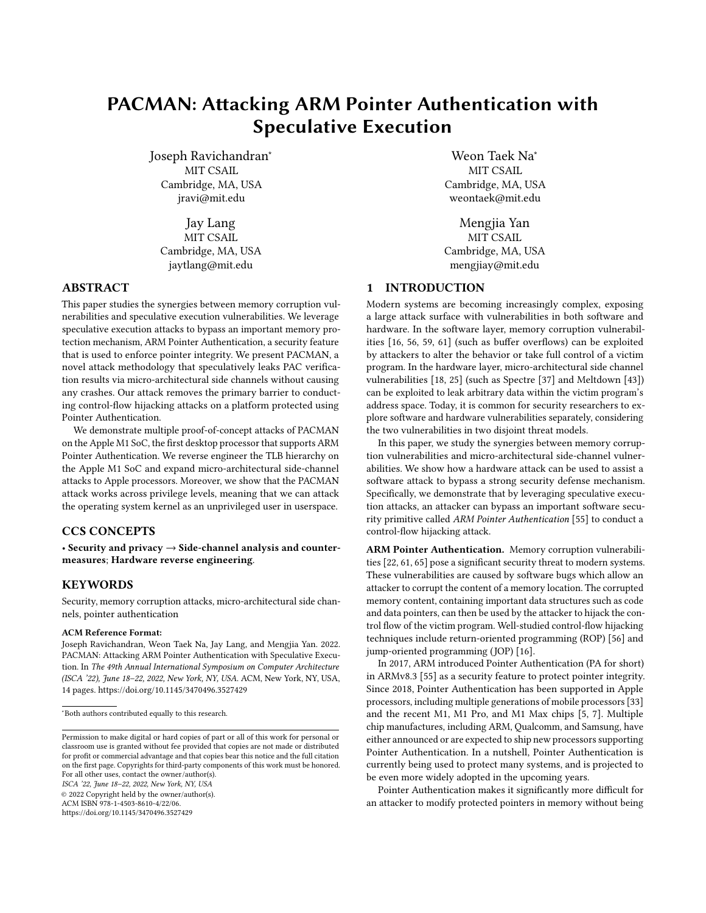# PACMAN: Attacking ARM Pointer Authentication with Speculative Execution

Joseph Ravichandran<sup>∗</sup> MIT CSAIL Cambridge, MA, USA jravi@mit.edu

Jay Lang MIT CSAIL Cambridge, MA, USA jaytlang@mit.edu

# ABSTRACT

This paper studies the synergies between memory corruption vulnerabilities and speculative execution vulnerabilities. We leverage speculative execution attacks to bypass an important memory protection mechanism, ARM Pointer Authentication, a security feature that is used to enforce pointer integrity. We present PACMAN, a novel attack methodology that speculatively leaks PAC verification results via micro-architectural side channels without causing any crashes. Our attack removes the primary barrier to conducting control-flow hijacking attacks on a platform protected using Pointer Authentication.

We demonstrate multiple proof-of-concept attacks of PACMAN on the Apple M1 SoC, the first desktop processor that supports ARM Pointer Authentication. We reverse engineer the TLB hierarchy on the Apple M1 SoC and expand micro-architectural side-channel attacks to Apple processors. Moreover, we show that the PACMAN attack works across privilege levels, meaning that we can attack the operating system kernel as an unprivileged user in userspace.

# CCS CONCEPTS

• Security and privacy  $\rightarrow$  Side-channel analysis and countermeasures; Hardware reverse engineering.

#### **KEYWORDS**

Security, memory corruption attacks, micro-architectural side channels, pointer authentication

#### ACM Reference Format:

Joseph Ravichandran, Weon Taek Na, Jay Lang, and Mengjia Yan. 2022. PACMAN: Attacking ARM Pointer Authentication with Speculative Execution. In The 49th Annual International Symposium on Computer Architecture (ISCA '22), June 18-22, 2022, New York, NY, USA. ACM, New York, NY, USA, [14](#page-13-0) pages.<https://doi.org/10.1145/3470496.3527429>

ISCA '22, June 18-22, 2022, New York, NY, USA

© 2022 Copyright held by the owner/author(s).

ACM ISBN 978-1-4503-8610-4/22/06.

<https://doi.org/10.1145/3470496.3527429>

Weon Taek Na<sup>∗</sup> MIT CSAIL Cambridge, MA, USA weontaek@mit.edu

Mengjia Yan MIT CSAIL Cambridge, MA, USA mengjiay@mit.edu

# 1 INTRODUCTION

Modern systems are becoming increasingly complex, exposing a large attack surface with vulnerabilities in both software and hardware. In the software layer, memory corruption vulnerabilities [\[16,](#page-12-0) [56,](#page-13-1) [59,](#page-13-2) [61\]](#page-13-3) (such as buffer overflows) can be exploited by attackers to alter the behavior or take full control of a victim program. In the hardware layer, micro-architectural side channel vulnerabilities [\[18,](#page-12-1) [25\]](#page-12-2) (such as Spectre [\[37\]](#page-13-4) and Meltdown [\[43\]](#page-13-5)) can be exploited to leak arbitrary data within the victim program's address space. Today, it is common for security researchers to explore software and hardware vulnerabilities separately, considering the two vulnerabilities in two disjoint threat models.

In this paper, we study the synergies between memory corruption vulnerabilities and micro-architectural side-channel vulnerabilities. We show how a hardware attack can be used to assist a software attack to bypass a strong security defense mechanism. Specifically, we demonstrate that by leveraging speculative execution attacks, an attacker can bypass an important software security primitive called ARM Pointer Authentication [\[55\]](#page-13-6) to conduct a control-flow hijacking attack.

ARM Pointer Authentication. Memory corruption vulnerabilities [\[22,](#page-12-3) [61,](#page-13-3) [65\]](#page-13-7) pose a significant security threat to modern systems. These vulnerabilities are caused by software bugs which allow an attacker to corrupt the content of a memory location. The corrupted memory content, containing important data structures such as code and data pointers, can then be used by the attacker to hijack the control flow of the victim program. Well-studied control-flow hijacking techniques include return-oriented programming (ROP) [\[56\]](#page-13-1) and jump-oriented programming (JOP) [\[16\]](#page-12-0).

In 2017, ARM introduced Pointer Authentication (PA for short) in ARMv8.3 [\[55\]](#page-13-6) as a security feature to protect pointer integrity. Since 2018, Pointer Authentication has been supported in Apple processors, including multiple generations of mobile processors [\[33\]](#page-12-4) and the recent M1, M1 Pro, and M1 Max chips [\[5,](#page-12-5) [7\]](#page-12-6). Multiple chip manufactures, including ARM, Qualcomm, and Samsung, have either announced or are expected to ship new processors supporting Pointer Authentication. In a nutshell, Pointer Authentication is currently being used to protect many systems, and is projected to be even more widely adopted in the upcoming years.

Pointer Authentication makes it significantly more difficult for an attacker to modify protected pointers in memory without being

<sup>∗</sup>Both authors contributed equally to this research.

Permission to make digital or hard copies of part or all of this work for personal or classroom use is granted without fee provided that copies are not made or distributed for profit or commercial advantage and that copies bear this notice and the full citation on the first page. Copyrights for third-party components of this work must be honored. For all other uses, contact the owner/author(s).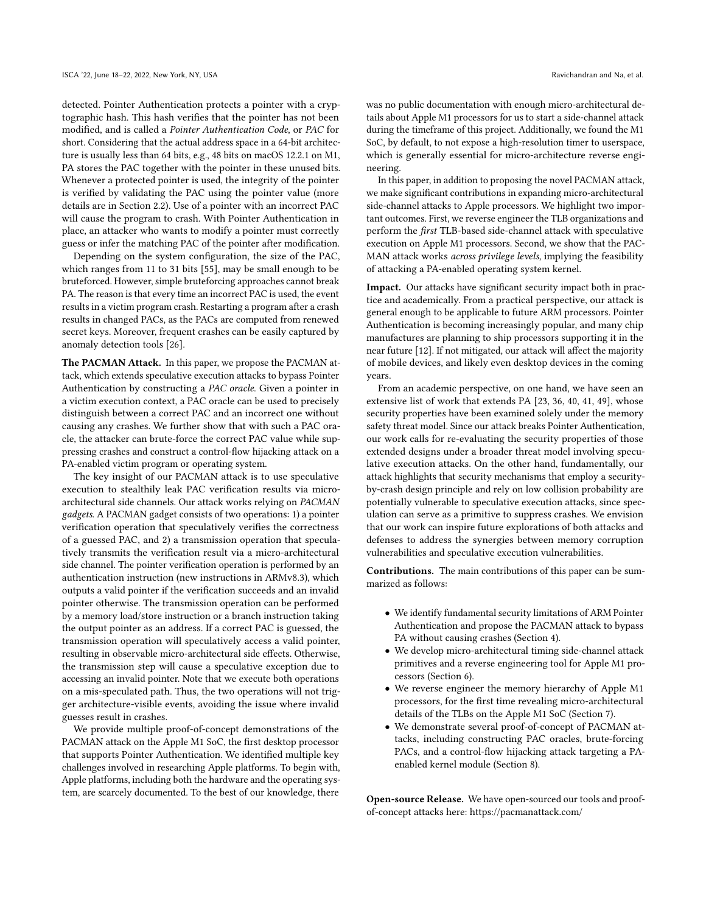detected. Pointer Authentication protects a pointer with a cryptographic hash. This hash verifies that the pointer has not been modified, and is called a Pointer Authentication Code, or PAC for short. Considering that the actual address space in a 64-bit architecture is usually less than 64 bits, e.g., 48 bits on macOS 12.2.1 on M1, PA stores the PAC together with the pointer in these unused bits. Whenever a protected pointer is used, the integrity of the pointer is verified by validating the PAC using the pointer value (more details are in Section [2.2\)](#page-2-0). Use of a pointer with an incorrect PAC will cause the program to crash. With Pointer Authentication in place, an attacker who wants to modify a pointer must correctly guess or infer the matching PAC of the pointer after modification.

Depending on the system configuration, the size of the PAC, which ranges from 11 to 31 bits [\[55\]](#page-13-6), may be small enough to be bruteforced. However, simple bruteforcing approaches cannot break PA. The reason is that every time an incorrect PAC is used, the event results in a victim program crash. Restarting a program after a crash results in changed PACs, as the PACs are computed from renewed secret keys. Moreover, frequent crashes can be easily captured by anomaly detection tools [\[26\]](#page-12-7).

The PACMAN Attack. In this paper, we propose the PACMAN attack, which extends speculative execution attacks to bypass Pointer Authentication by constructing a PAC oracle. Given a pointer in a victim execution context, a PAC oracle can be used to precisely distinguish between a correct PAC and an incorrect one without causing any crashes. We further show that with such a PAC oracle, the attacker can brute-force the correct PAC value while suppressing crashes and construct a control-flow hijacking attack on a PA-enabled victim program or operating system.

The key insight of our PACMAN attack is to use speculative execution to stealthily leak PAC verification results via microarchitectural side channels. Our attack works relying on PACMAN gadgets. A PACMAN gadget consists of two operations: 1) a pointer verification operation that speculatively verifies the correctness of a guessed PAC, and 2) a transmission operation that speculatively transmits the verification result via a micro-architectural side channel. The pointer verification operation is performed by an authentication instruction (new instructions in ARMv8.3), which outputs a valid pointer if the verification succeeds and an invalid pointer otherwise. The transmission operation can be performed by a memory load/store instruction or a branch instruction taking the output pointer as an address. If a correct PAC is guessed, the transmission operation will speculatively access a valid pointer, resulting in observable micro-architectural side effects. Otherwise, the transmission step will cause a speculative exception due to accessing an invalid pointer. Note that we execute both operations on a mis-speculated path. Thus, the two operations will not trigger architecture-visible events, avoiding the issue where invalid guesses result in crashes.

We provide multiple proof-of-concept demonstrations of the PACMAN attack on the Apple M1 SoC, the first desktop processor that supports Pointer Authentication. We identified multiple key challenges involved in researching Apple platforms. To begin with, Apple platforms, including both the hardware and the operating system, are scarcely documented. To the best of our knowledge, there

was no public documentation with enough micro-architectural details about Apple M1 processors for us to start a side-channel attack during the timeframe of this project. Additionally, we found the M1 SoC, by default, to not expose a high-resolution timer to userspace, which is generally essential for micro-architecture reverse engineering.

In this paper, in addition to proposing the novel PACMAN attack, we make significant contributions in expanding micro-architectural side-channel attacks to Apple processors. We highlight two important outcomes. First, we reverse engineer the TLB organizations and perform the first TLB-based side-channel attack with speculative execution on Apple M1 processors. Second, we show that the PAC-MAN attack works across privilege levels, implying the feasibility of attacking a PA-enabled operating system kernel.

Impact. Our attacks have significant security impact both in practice and academically. From a practical perspective, our attack is general enough to be applicable to future ARM processors. Pointer Authentication is becoming increasingly popular, and many chip manufactures are planning to ship processors supporting it in the near future [\[12\]](#page-12-8). If not mitigated, our attack will affect the majority of mobile devices, and likely even desktop devices in the coming years.

From an academic perspective, on one hand, we have seen an extensive list of work that extends PA [\[23,](#page-12-9) [36,](#page-12-10) [40,](#page-13-8) [41,](#page-13-9) [49\]](#page-13-10), whose security properties have been examined solely under the memory safety threat model. Since our attack breaks Pointer Authentication, our work calls for re-evaluating the security properties of those extended designs under a broader threat model involving speculative execution attacks. On the other hand, fundamentally, our attack highlights that security mechanisms that employ a securityby-crash design principle and rely on low collision probability are potentially vulnerable to speculative execution attacks, since speculation can serve as a primitive to suppress crashes. We envision that our work can inspire future explorations of both attacks and defenses to address the synergies between memory corruption vulnerabilities and speculative execution vulnerabilities.

Contributions. The main contributions of this paper can be summarized as follows:

- We identify fundamental security limitations of ARM Pointer Authentication and propose the PACMAN attack to bypass PA without causing crashes (Section [4\)](#page-3-0).
- We develop micro-architectural timing side-channel attack primitives and a reverse engineering tool for Apple M1 processors (Section [6\)](#page-6-0).
- We reverse engineer the memory hierarchy of Apple M1 processors, for the first time revealing micro-architectural details of the TLBs on the Apple M1 SoC (Section [7\)](#page-7-0).
- We demonstrate several proof-of-concept of PACMAN attacks, including constructing PAC oracles, brute-forcing PACs, and a control-flow hijacking attack targeting a PAenabled kernel module (Section [8\)](#page-9-0).

Open-source Release. We have open-sourced our tools and proofof-concept attacks here:<https://pacmanattack.com/>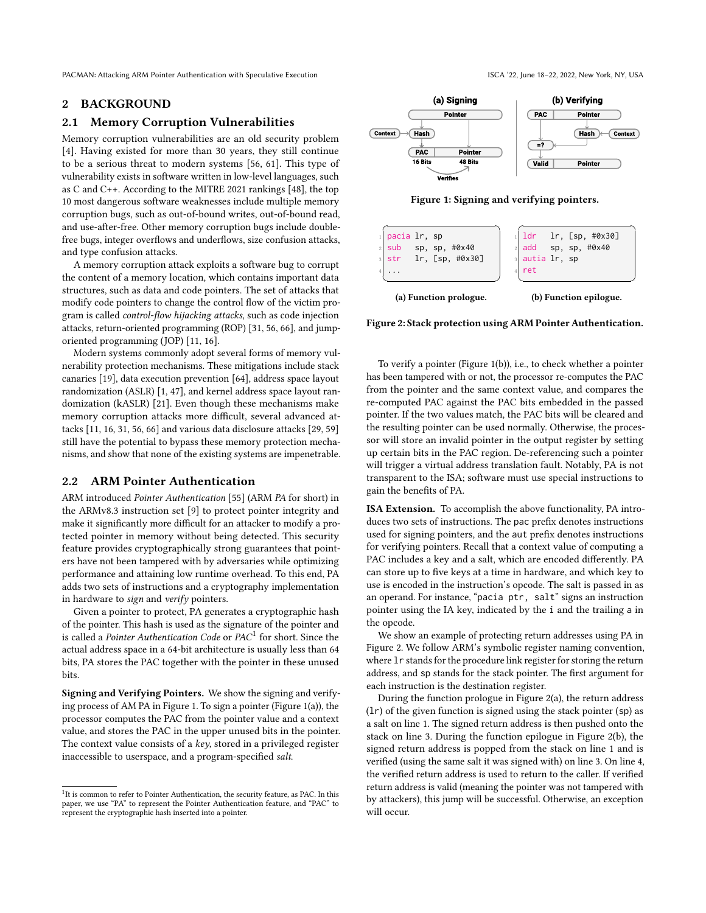# 2 BACKGROUND

# 2.1 Memory Corruption Vulnerabilities

Memory corruption vulnerabilities are an old security problem [\[4\]](#page-12-11). Having existed for more than 30 years, they still continue to be a serious threat to modern systems [\[56,](#page-13-1) [61\]](#page-13-3). This type of vulnerability exists in software written in low-level languages, such as C and C++. According to the MITRE 2021 rankings [\[48\]](#page-13-11), the top 10 most dangerous software weaknesses include multiple memory corruption bugs, such as out-of-bound writes, out-of-bound read, and use-after-free. Other memory corruption bugs include doublefree bugs, integer overflows and underflows, size confusion attacks, and type confusion attacks.

A memory corruption attack exploits a software bug to corrupt the content of a memory location, which contains important data structures, such as data and code pointers. The set of attacks that modify code pointers to change the control flow of the victim program is called control-flow hijacking attacks, such as code injection attacks, return-oriented programming (ROP) [\[31,](#page-12-12) [56,](#page-13-1) [66\]](#page-13-12), and jumporiented programming (JOP) [\[11,](#page-12-13) [16\]](#page-12-0).

Modern systems commonly adopt several forms of memory vulnerability protection mechanisms. These mitigations include stack canaries [\[19\]](#page-12-14), data execution prevention [\[64\]](#page-13-13), address space layout randomization (ASLR) [\[1,](#page-12-15) [47\]](#page-13-14), and kernel address space layout randomization (kASLR) [\[21\]](#page-12-16). Even though these mechanisms make memory corruption attacks more difficult, several advanced attacks [\[11,](#page-12-13) [16,](#page-12-0) [31,](#page-12-12) [56,](#page-13-1) [66\]](#page-13-12) and various data disclosure attacks [\[29,](#page-12-17) [59\]](#page-13-2) still have the potential to bypass these memory protection mechanisms, and show that none of the existing systems are impenetrable.

#### <span id="page-2-0"></span>2.2 ARM Pointer Authentication

ARM introduced Pointer Authentication [\[55\]](#page-13-6) (ARM PA for short) in the ARMv8.3 instruction set [\[9\]](#page-12-18) to protect pointer integrity and make it significantly more difficult for an attacker to modify a protected pointer in memory without being detected. This security feature provides cryptographically strong guarantees that pointers have not been tampered with by adversaries while optimizing performance and attaining low runtime overhead. To this end, PA adds two sets of instructions and a cryptography implementation in hardware to sign and verify pointers.

Given a pointer to protect, PA generates a cryptographic hash of the pointer. This hash is used as the signature of the pointer and is called a Pointer Authentication Code or PAC<sup>[1](#page-2-1)</sup> for short. Since the actual address space in a 64-bit architecture is usually less than 64 bits, PA stores the PAC together with the pointer in these unused bits.

Signing and Verifying Pointers. We show the signing and verifying process of AM PA in Figure [1.](#page-2-2) To sign a pointer (Figure [1\(](#page-2-2)a)), the processor computes the PAC from the pointer value and a context value, and stores the PAC in the upper unused bits in the pointer. The context value consists of a key, stored in a privileged register inaccessible to userspace, and a program-specified salt.

<span id="page-2-2"></span>



Verifies

<span id="page-2-3"></span>

| pacia 1r, sp<br>sub sp, sp, #0x40<br>str $lr$ , [sp, $\#0x30$ ] | 1 ldr 1r, [sp, #0x30]<br>$2$ add sp, sp, #0x40<br>a autia lr, sp<br>ret |
|-----------------------------------------------------------------|-------------------------------------------------------------------------|
| (a) Function prologue.                                          | (b) Function epilogue.                                                  |

Figure 2: Stack protection using ARM Pointer Authentication.

To verify a pointer (Figure [1\(](#page-2-2)b)), i.e., to check whether a pointer has been tampered with or not, the processor re-computes the PAC from the pointer and the same context value, and compares the re-computed PAC against the PAC bits embedded in the passed pointer. If the two values match, the PAC bits will be cleared and the resulting pointer can be used normally. Otherwise, the processor will store an invalid pointer in the output register by setting up certain bits in the PAC region. De-referencing such a pointer will trigger a virtual address translation fault. Notably, PA is not transparent to the ISA; software must use special instructions to gain the benefits of PA.

ISA Extension. To accomplish the above functionality, PA introduces two sets of instructions. The pac prefix denotes instructions used for signing pointers, and the aut prefix denotes instructions for verifying pointers. Recall that a context value of computing a PAC includes a key and a salt, which are encoded differently. PA can store up to five keys at a time in hardware, and which key to use is encoded in the instruction's opcode. The salt is passed in as an operand. For instance, "pacia ptr, salt" signs an instruction pointer using the IA key, indicated by the i and the trailing a in the opcode.

We show an example of protecting return addresses using PA in Figure [2.](#page-2-3) We follow ARM's symbolic register naming convention, where lr stands for the procedure link register for storing the return address, and sp stands for the stack pointer. The first argument for each instruction is the destination register.

During the function prologue in Figure [2\(](#page-2-3)a), the return address (lr) of the given function is signed using the stack pointer (sp) as a salt on line 1. The signed return address is then pushed onto the stack on line 3. During the function epilogue in Figure [2\(](#page-2-3)b), the signed return address is popped from the stack on line 1 and is verified (using the same salt it was signed with) on line 3. On line 4, the verified return address is used to return to the caller. If verified return address is valid (meaning the pointer was not tampered with by attackers), this jump will be successful. Otherwise, an exception will occur.

<span id="page-2-1"></span><sup>&</sup>lt;sup>1</sup>It is common to refer to Pointer Authentication, the security feature, as PAC. In this paper, we use "PA" to represent the Pointer Authentication feature, and "PAC" to represent the cryptographic hash inserted into a pointer.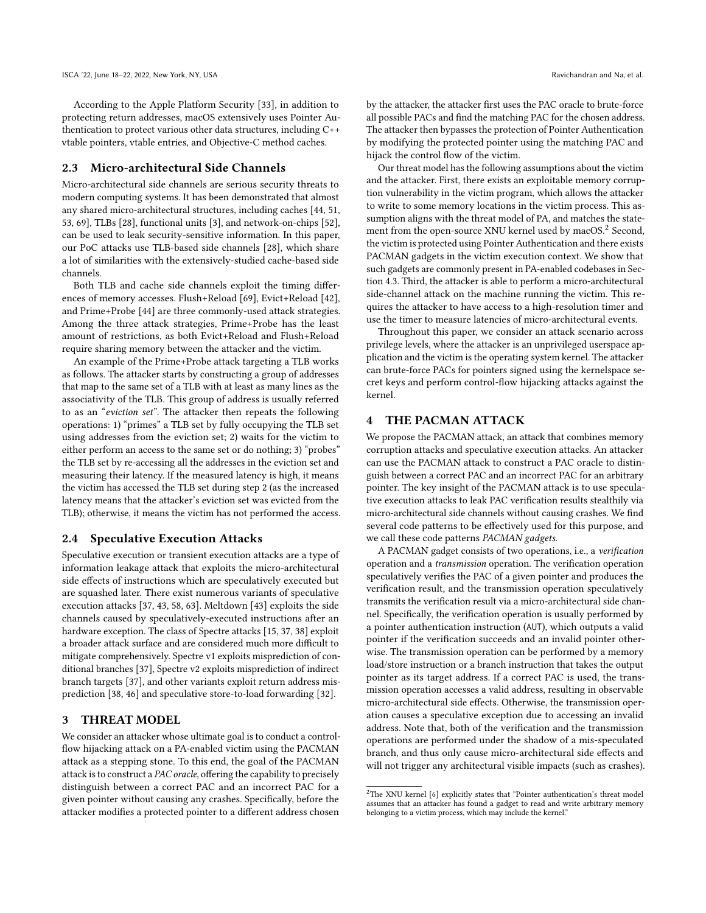According to the Apple Platform Security [\[33\]](#page-12-4), in addition to protecting return addresses, macOS extensively uses Pointer Authentication to protect various other data structures, including C++ vtable pointers, vtable entries, and Objective-C method caches.

# 2.3 Micro-architectural Side Channels

Micro-architectural side channels are serious security threats to modern computing systems. It has been demonstrated that almost any shared micro-architectural structures, including caches [\[44,](#page-13-15) [51,](#page-13-16) [53,](#page-13-17) [69\]](#page-13-18), TLBs [\[28\]](#page-12-19), functional units [\[3\]](#page-12-20), and network-on-chips [\[52\]](#page-13-19), can be used to leak security-sensitive information. In this paper, our PoC attacks use TLB-based side channels [\[28\]](#page-12-19), which share a lot of similarities with the extensively-studied cache-based side channels.

Both TLB and cache side channels exploit the timing differences of memory accesses. Flush+Reload [\[69\]](#page-13-18), Evict+Reload [\[42\]](#page-13-20), and Prime+Probe [\[44\]](#page-13-15) are three commonly-used attack strategies. Among the three attack strategies, Prime+Probe has the least amount of restrictions, as both Evict+Reload and Flush+Reload require sharing memory between the attacker and the victim.

An example of the Prime+Probe attack targeting a TLB works as follows. The attacker starts by constructing a group of addresses that map to the same set of a TLB with at least as many lines as the associativity of the TLB. This group of address is usually referred to as an "eviction set". The attacker then repeats the following operations: 1) "primes" a TLB set by fully occupying the TLB set using addresses from the eviction set; 2) waits for the victim to either perform an access to the same set or do nothing; 3) "probes" the TLB set by re-accessing all the addresses in the eviction set and measuring their latency. If the measured latency is high, it means the victim has accessed the TLB set during step 2 (as the increased latency means that the attacker's eviction set was evicted from the TLB); otherwise, it means the victim has not performed the access.

#### 2.4 Speculative Execution Attacks

Speculative execution or transient execution attacks are a type of information leakage attack that exploits the micro-architectural side effects of instructions which are speculatively executed but are squashed later. There exist numerous variants of speculative execution attacks [\[37,](#page-13-4) [43,](#page-13-5) [58,](#page-13-21) [63\]](#page-13-22). Meltdown [\[43\]](#page-13-5) exploits the side channels caused by speculatively-executed instructions after an hardware exception. The class of Spectre attacks [\[15,](#page-12-21) [37,](#page-13-4) [38\]](#page-13-23) exploit a broader attack surface and are considered much more difficult to mitigate comprehensively. Spectre v1 exploits misprediction of conditional branches [\[37\]](#page-13-4), Spectre v2 exploits misprediction of indirect branch targets [\[37\]](#page-13-4), and other variants exploit return address misprediction [\[38,](#page-13-23) [46\]](#page-13-24) and speculative store-to-load forwarding [\[32\]](#page-12-22).

#### 3 THREAT MODEL

We consider an attacker whose ultimate goal is to conduct a controlflow hijacking attack on a PA-enabled victim using the PACMAN attack as a stepping stone. To this end, the goal of the PACMAN attack is to construct a PAC oracle, offering the capability to precisely distinguish between a correct PAC and an incorrect PAC for a given pointer without causing any crashes. Specifically, before the attacker modifies a protected pointer to a different address chosen

by the attacker, the attacker first uses the PAC oracle to brute-force all possible PACs and find the matching PAC for the chosen address. The attacker then bypasses the protection of Pointer Authentication by modifying the protected pointer using the matching PAC and hijack the control flow of the victim.

Our threat model has the following assumptions about the victim and the attacker. First, there exists an exploitable memory corruption vulnerability in the victim program, which allows the attacker to write to some memory locations in the victim process. This assumption aligns with the threat model of PA, and matches the state-ment from the open-source XNU kernel used by macOS.<sup>[2](#page-3-1)</sup> Second, the victim is protected using Pointer Authentication and there exists PACMAN gadgets in the victim execution context. We show that such gadgets are commonly present in PA-enabled codebases in Section [4.3.](#page-5-0) Third, the attacker is able to perform a micro-architectural side-channel attack on the machine running the victim. This requires the attacker to have access to a high-resolution timer and use the timer to measure latencies of micro-architectural events.

Throughout this paper, we consider an attack scenario across privilege levels, where the attacker is an unprivileged userspace application and the victim is the operating system kernel. The attacker can brute-force PACs for pointers signed using the kernelspace secret keys and perform control-flow hijacking attacks against the kernel.

# <span id="page-3-0"></span>4 THE PACMAN ATTACK

We propose the PACMAN attack, an attack that combines memory corruption attacks and speculative execution attacks. An attacker can use the PACMAN attack to construct a PAC oracle to distinguish between a correct PAC and an incorrect PAC for an arbitrary pointer. The key insight of the PACMAN attack is to use speculative execution attacks to leak PAC verification results stealthily via micro-architectural side channels without causing crashes. We find several code patterns to be effectively used for this purpose, and we call these code patterns PACMAN gadgets.

A PACMAN gadget consists of two operations, i.e., a verification operation and a transmission operation. The verification operation speculatively verifies the PAC of a given pointer and produces the verification result, and the transmission operation speculatively transmits the verification result via a micro-architectural side channel. Specifically, the verification operation is usually performed by a pointer authentication instruction (AUT), which outputs a valid pointer if the verification succeeds and an invalid pointer otherwise. The transmission operation can be performed by a memory load/store instruction or a branch instruction that takes the output pointer as its target address. If a correct PAC is used, the transmission operation accesses a valid address, resulting in observable micro-architectural side effects. Otherwise, the transmission operation causes a speculative exception due to accessing an invalid address. Note that, both of the verification and the transmission operations are performed under the shadow of a mis-speculated branch, and thus only cause micro-architectural side effects and will not trigger any architectural visible impacts (such as crashes).

<span id="page-3-1"></span> $^2\mathrm{The}$  XNU kernel [\[6\]](#page-12-23) explicitly states that "Pointer authentication's threat model assumes that an attacker has found a gadget to read and write arbitrary memory belonging to a victim process, which may include the kernel."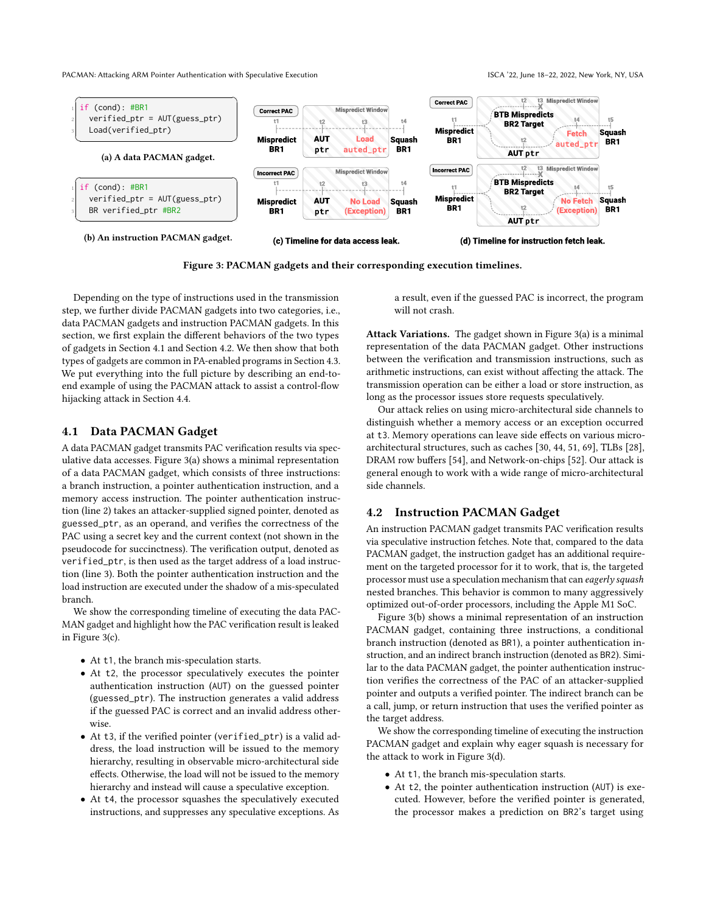<span id="page-4-2"></span>

Figure 3: PACMAN gadgets and their corresponding execution timelines.

Depending on the type of instructions used in the transmission step, we further divide PACMAN gadgets into two categories, i.e., data PACMAN gadgets and instruction PACMAN gadgets. In this section, we first explain the different behaviors of the two types of gadgets in Section [4.1](#page-4-0) and Section [4.2.](#page-4-1) We then show that both types of gadgets are common in PA-enabled programs in Section [4.3.](#page-5-0) We put everything into the full picture by describing an end-toend example of using the PACMAN attack to assist a control-flow hijacking attack in Section [4.4.](#page-5-1)

### <span id="page-4-0"></span>4.1 Data PACMAN Gadget

A data PACMAN gadget transmits PAC verification results via speculative data accesses. Figure [3\(](#page-4-2)a) shows a minimal representation of a data PACMAN gadget, which consists of three instructions: a branch instruction, a pointer authentication instruction, and a memory access instruction. The pointer authentication instruction (line 2) takes an attacker-supplied signed pointer, denoted as guessed\_ptr, as an operand, and verifies the correctness of the PAC using a secret key and the current context (not shown in the pseudocode for succinctness). The verification output, denoted as verified\_ptr, is then used as the target address of a load instruction (line 3). Both the pointer authentication instruction and the load instruction are executed under the shadow of a mis-speculated branch.

We show the corresponding timeline of executing the data PAC-MAN gadget and highlight how the PAC verification result is leaked in Figure [3\(](#page-4-2)c).

- At t1, the branch mis-speculation starts.
- At t2, the processor speculatively executes the pointer authentication instruction (AUT) on the guessed pointer (guessed\_ptr). The instruction generates a valid address if the guessed PAC is correct and an invalid address otherwise.
- At t3, if the verified pointer (verified\_ptr) is a valid address, the load instruction will be issued to the memory hierarchy, resulting in observable micro-architectural side effects. Otherwise, the load will not be issued to the memory hierarchy and instead will cause a speculative exception.
- At t4, the processor squashes the speculatively executed instructions, and suppresses any speculative exceptions. As

a result, even if the guessed PAC is incorrect, the program will not crash.

Attack Variations. The gadget shown in Figure [3\(](#page-4-2)a) is a minimal representation of the data PACMAN gadget. Other instructions between the verification and transmission instructions, such as arithmetic instructions, can exist without affecting the attack. The transmission operation can be either a load or store instruction, as long as the processor issues store requests speculatively.

Our attack relies on using micro-architectural side channels to distinguish whether a memory access or an exception occurred at t3. Memory operations can leave side effects on various microarchitectural structures, such as caches [\[30,](#page-12-24) [44,](#page-13-15) [51,](#page-13-16) [69\]](#page-13-18), TLBs [\[28\]](#page-12-19), DRAM row buffers [\[54\]](#page-13-25), and Network-on-chips [\[52\]](#page-13-19). Our attack is general enough to work with a wide range of micro-architectural side channels.

# <span id="page-4-1"></span>4.2 Instruction PACMAN Gadget

An instruction PACMAN gadget transmits PAC verification results via speculative instruction fetches. Note that, compared to the data PACMAN gadget, the instruction gadget has an additional requirement on the targeted processor for it to work, that is, the targeted processor must use a speculation mechanism that can eagerly squash nested branches. This behavior is common to many aggressively optimized out-of-order processors, including the Apple M1 SoC.

Figure [3\(](#page-4-2)b) shows a minimal representation of an instruction PACMAN gadget, containing three instructions, a conditional branch instruction (denoted as BR1), a pointer authentication instruction, and an indirect branch instruction (denoted as BR2). Similar to the data PACMAN gadget, the pointer authentication instruction verifies the correctness of the PAC of an attacker-supplied pointer and outputs a verified pointer. The indirect branch can be a call, jump, or return instruction that uses the verified pointer as the target address.

We show the corresponding timeline of executing the instruction PACMAN gadget and explain why eager squash is necessary for the attack to work in Figure [3\(](#page-4-2)d).

- At t1, the branch mis-speculation starts.
- At t2, the pointer authentication instruction (AUT) is executed. However, before the verified pointer is generated, the processor makes a prediction on BR2's target using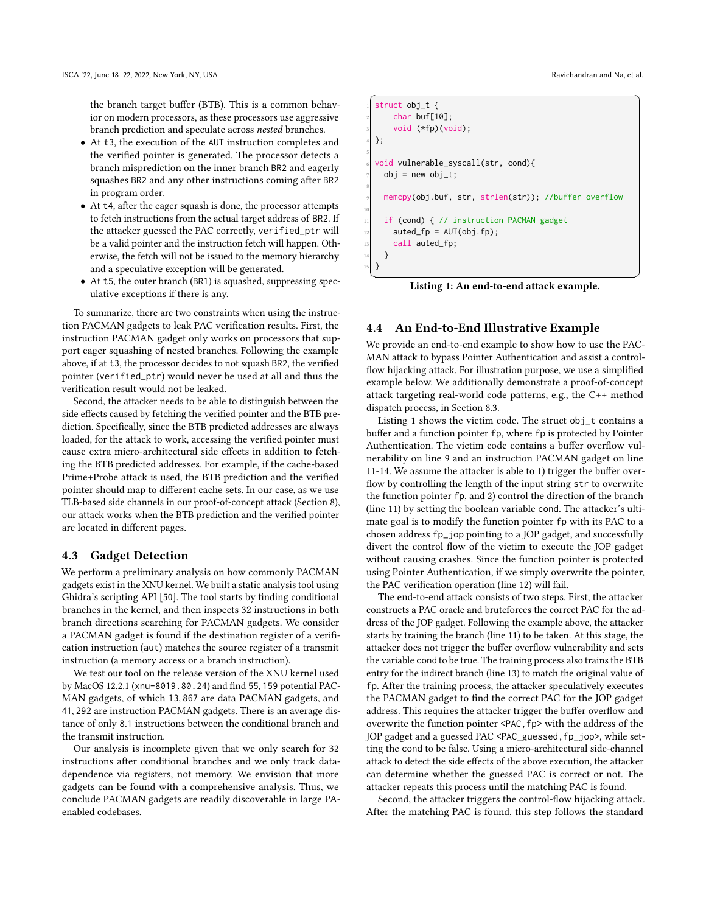the branch target buffer (BTB). This is a common behavior on modern processors, as these processors use aggressive branch prediction and speculate across nested branches.

- At t3, the execution of the AUT instruction completes and the verified pointer is generated. The processor detects a branch misprediction on the inner branch BR2 and eagerly squashes BR2 and any other instructions coming after BR2 in program order.
- At t4, after the eager squash is done, the processor attempts to fetch instructions from the actual target address of BR2. If the attacker guessed the PAC correctly, verified\_ptr will be a valid pointer and the instruction fetch will happen. Otherwise, the fetch will not be issued to the memory hierarchy and a speculative exception will be generated.
- At t5, the outer branch (BR1) is squashed, suppressing speculative exceptions if there is any.

To summarize, there are two constraints when using the instruction PACMAN gadgets to leak PAC verification results. First, the instruction PACMAN gadget only works on processors that support eager squashing of nested branches. Following the example above, if at t3, the processor decides to not squash BR2, the verified pointer (verified\_ptr) would never be used at all and thus the verification result would not be leaked.

Second, the attacker needs to be able to distinguish between the side effects caused by fetching the verified pointer and the BTB prediction. Specifically, since the BTB predicted addresses are always loaded, for the attack to work, accessing the verified pointer must cause extra micro-architectural side effects in addition to fetching the BTB predicted addresses. For example, if the cache-based Prime+Probe attack is used, the BTB prediction and the verified pointer should map to different cache sets. In our case, as we use TLB-based side channels in our proof-of-concept attack (Section [8\)](#page-9-0), our attack works when the BTB prediction and the verified pointer are located in different pages.

# <span id="page-5-0"></span>4.3 Gadget Detection

We perform a preliminary analysis on how commonly PACMAN gadgets exist in the XNU kernel. We built a static analysis tool using Ghidra's scripting API [\[50\]](#page-13-26). The tool starts by finding conditional branches in the kernel, and then inspects 32 instructions in both branch directions searching for PACMAN gadgets. We consider a PACMAN gadget is found if the destination register of a verification instruction (aut) matches the source register of a transmit instruction (a memory access or a branch instruction).

We test our tool on the release version of the XNU kernel used by MacOS 12.2.1 (xnu-8019.80.24) and find 55, 159 potential PAC-MAN gadgets, of which 13, 867 are data PACMAN gadgets, and 41, 292 are instruction PACMAN gadgets. There is an average distance of only 8.1 instructions between the conditional branch and the transmit instruction.

Our analysis is incomplete given that we only search for 32 instructions after conditional branches and we only track datadependence via registers, not memory. We envision that more gadgets can be found with a comprehensive analysis. Thus, we conclude PACMAN gadgets are readily discoverable in large PAenabled codebases.

```
\overline{a} \overline{a} \overline{a} \overline{a} \overline{a} \overline{a} \overline{a} \overline{a} \overline{a} \overline{a} \overline{a} \overline{a} \overline{a} \overline{a} \overline{a} \overline{a} \overline{a} \overline{a} \overline{a} \overline{a} \overline{a} \overline{a} \overline{a} \overline{a} \overline{struct obj_t {
          char buf[10];
          void (*fp)(void);
   4 };
 5
    6 void vulnerable_syscall(str, cond){
       obj = new obj_t;8
       memcpy(obj.buf, str, strlen(str)); //buffer overflow
10
11 if (cond) { // instruction PACMAN gadget
_{12} auted_fp = AUT(obj.fp);
13 call auted_fp;
       \left\{ \right\}15 }
   ✝ ✆
```
Listing 1: An end-to-end attack example.

#### <span id="page-5-1"></span>4.4 An End-to-End Illustrative Example

We provide an end-to-end example to show how to use the PAC-MAN attack to bypass Pointer Authentication and assist a controlflow hijacking attack. For illustration purpose, we use a simplified example below. We additionally demonstrate a proof-of-concept attack targeting real-world code patterns, e.g., the C++ method dispatch process, in Section [8.3.](#page-11-0)

Listing [1](#page-5-2) shows the victim code. The struct obj\_t contains a buffer and a function pointer fp, where fp is protected by Pointer Authentication. The victim code contains a buffer overflow vulnerability on line 9 and an instruction PACMAN gadget on line 11-14. We assume the attacker is able to 1) trigger the buffer overflow by controlling the length of the input string str to overwrite the function pointer fp, and 2) control the direction of the branch (line 11) by setting the boolean variable cond. The attacker's ultimate goal is to modify the function pointer fp with its PAC to a chosen address fp\_jop pointing to a JOP gadget, and successfully divert the control flow of the victim to execute the JOP gadget without causing crashes. Since the function pointer is protected using Pointer Authentication, if we simply overwrite the pointer, the PAC verification operation (line 12) will fail.

The end-to-end attack consists of two steps. First, the attacker constructs a PAC oracle and bruteforces the correct PAC for the address of the JOP gadget. Following the example above, the attacker starts by training the branch (line 11) to be taken. At this stage, the attacker does not trigger the buffer overflow vulnerability and sets the variable cond to be true. The training process also trains the BTB entry for the indirect branch (line 13) to match the original value of fp. After the training process, the attacker speculatively executes the PACMAN gadget to find the correct PAC for the JOP gadget address. This requires the attacker trigger the buffer overflow and overwrite the function pointer <PAC,fp> with the address of the JOP gadget and a guessed PAC <PAC\_guessed, fp\_jop>, while setting the cond to be false. Using a micro-architectural side-channel attack to detect the side effects of the above execution, the attacker can determine whether the guessed PAC is correct or not. The attacker repeats this process until the matching PAC is found.

Second, the attacker triggers the control-flow hijacking attack. After the matching PAC is found, this step follows the standard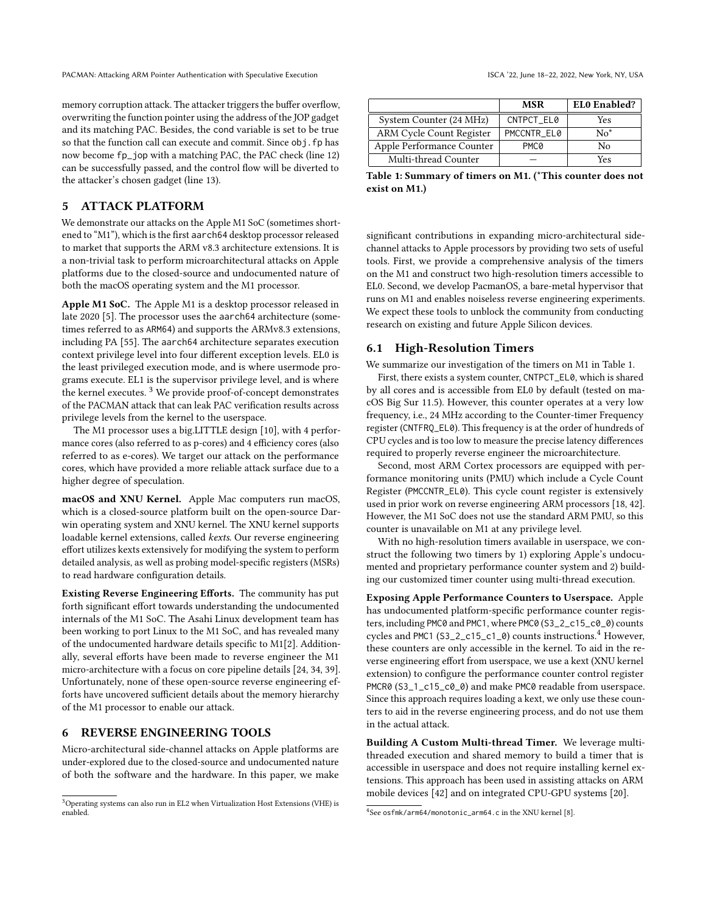memory corruption attack. The attacker triggers the buffer overflow, overwriting the function pointer using the address of the JOP gadget and its matching PAC. Besides, the cond variable is set to be true so that the function call can execute and commit. Since obj.fp has now become fp\_jop with a matching PAC, the PAC check (line 12) can be successfully passed, and the control flow will be diverted to the attacker's chosen gadget (line 13).

# 5 ATTACK PLATFORM

We demonstrate our attacks on the Apple M1 SoC (sometimes shortened to "M1"), which is the first aarch64 desktop processor released to market that supports the ARM v8.3 architecture extensions. It is a non-trivial task to perform microarchitectural attacks on Apple platforms due to the closed-source and undocumented nature of both the macOS operating system and the M1 processor.

Apple M1 SoC. The Apple M1 is a desktop processor released in late 2020 [\[5\]](#page-12-5). The processor uses the aarch64 architecture (sometimes referred to as ARM64) and supports the ARMv8.3 extensions, including PA [\[55\]](#page-13-6). The aarch64 architecture separates execution context privilege level into four different exception levels. EL0 is the least privileged execution mode, and is where usermode programs execute. EL1 is the supervisor privilege level, and is where the kernel executes.  $3$  We provide proof-of-concept demonstrates of the PACMAN attack that can leak PAC verification results across privilege levels from the kernel to the userspace.

The M1 processor uses a big.LITTLE design [\[10\]](#page-12-25), with 4 performance cores (also referred to as p-cores) and 4 efficiency cores (also referred to as e-cores). We target our attack on the performance cores, which have provided a more reliable attack surface due to a higher degree of speculation.

macOS and XNU Kernel. Apple Mac computers run macOS, which is a closed-source platform built on the open-source Darwin operating system and XNU kernel. The XNU kernel supports loadable kernel extensions, called kexts. Our reverse engineering effort utilizes kexts extensively for modifying the system to perform detailed analysis, as well as probing model-specific registers (MSRs) to read hardware configuration details.

Existing Reverse Engineering Efforts. The community has put forth significant effort towards understanding the undocumented internals of the M1 SoC. The Asahi Linux development team has been working to port Linux to the M1 SoC, and has revealed many of the undocumented hardware details specific to M1[\[2\]](#page-12-26). Additionally, several efforts have been made to reverse engineer the M1 micro-architecture with a focus on core pipeline details [\[24,](#page-12-27) [34,](#page-12-28) [39\]](#page-13-27). Unfortunately, none of these open-source reverse engineering efforts have uncovered sufficient details about the memory hierarchy of the M1 processor to enable our attack.

# <span id="page-6-0"></span>6 REVERSE ENGINEERING TOOLS

Micro-architectural side-channel attacks on Apple platforms are under-explored due to the closed-source and undocumented nature of both the software and the hardware. In this paper, we make

<span id="page-6-2"></span>

|                                 | MSR         | EL0 Enabled? |
|---------------------------------|-------------|--------------|
| System Counter (24 MHz)         | CNTPCT EL0  | Yes          |
| <b>ARM Cycle Count Register</b> | PMCCNTR EL0 | $No*$        |
| Apple Performance Counter       | <b>PMC0</b> | N٥           |
| Multi-thread Counter            |             | Yes          |

Table 1: Summary of timers on M1. (\*This counter does not exist on M1.)

significant contributions in expanding micro-architectural sidechannel attacks to Apple processors by providing two sets of useful tools. First, we provide a comprehensive analysis of the timers on the M1 and construct two high-resolution timers accessible to EL0. Second, we develop PacmanOS, a bare-metal hypervisor that runs on M1 and enables noiseless reverse engineering experiments. We expect these tools to unblock the community from conducting research on existing and future Apple Silicon devices.

#### 6.1 High-Resolution Timers

We summarize our investigation of the timers on M1 in Table [1.](#page-6-2)

First, there exists a system counter, CNTPCT\_EL0, which is shared by all cores and is accessible from EL0 by default (tested on macOS Big Sur 11.5). However, this counter operates at a very low frequency, i.e., 24 MHz according to the Counter-timer Frequency register (CNTFRQ\_EL0). This frequency is at the order of hundreds of CPU cycles and is too low to measure the precise latency differences required to properly reverse engineer the microarchitecture.

Second, most ARM Cortex processors are equipped with performance monitoring units (PMU) which include a Cycle Count Register (PMCCNTR\_EL0). This cycle count register is extensively used in prior work on reverse engineering ARM processors [\[18,](#page-12-1) [42\]](#page-13-20). However, the M1 SoC does not use the standard ARM PMU, so this counter is unavailable on M1 at any privilege level.

With no high-resolution timers available in userspace, we construct the following two timers by 1) exploring Apple's undocumented and proprietary performance counter system and 2) building our customized timer counter using multi-thread execution.

Exposing Apple Performance Counters to Userspace. Apple has undocumented platform-specific performance counter registers, including PMC0 and PMC1, where PMC0 (S3\_2\_c15\_c0\_0) counts cycles and PMC1 (S3\_2\_c15\_c1\_0) counts instructions.<sup>[4](#page-6-3)</sup> However, these counters are only accessible in the kernel. To aid in the reverse engineering effort from userspace, we use a kext (XNU kernel extension) to configure the performance counter control register PMCR0 (S3\_1\_c15\_c0\_0) and make PMC0 readable from userspace. Since this approach requires loading a kext, we only use these counters to aid in the reverse engineering process, and do not use them in the actual attack.

Building A Custom Multi-thread Timer. We leverage multithreaded execution and shared memory to build a timer that is accessible in userspace and does not require installing kernel extensions. This approach has been used in assisting attacks on ARM mobile devices [\[42\]](#page-13-20) and on integrated CPU-GPU systems [\[20\]](#page-12-29).

<span id="page-6-1"></span><sup>3</sup>Operating systems can also run in EL2 when Virtualization Host Extensions (VHE) is enabled.

<span id="page-6-3"></span><sup>4</sup> See osfmk/arm64/monotonic\_arm64.c in the XNU kernel [\[8\]](#page-12-30).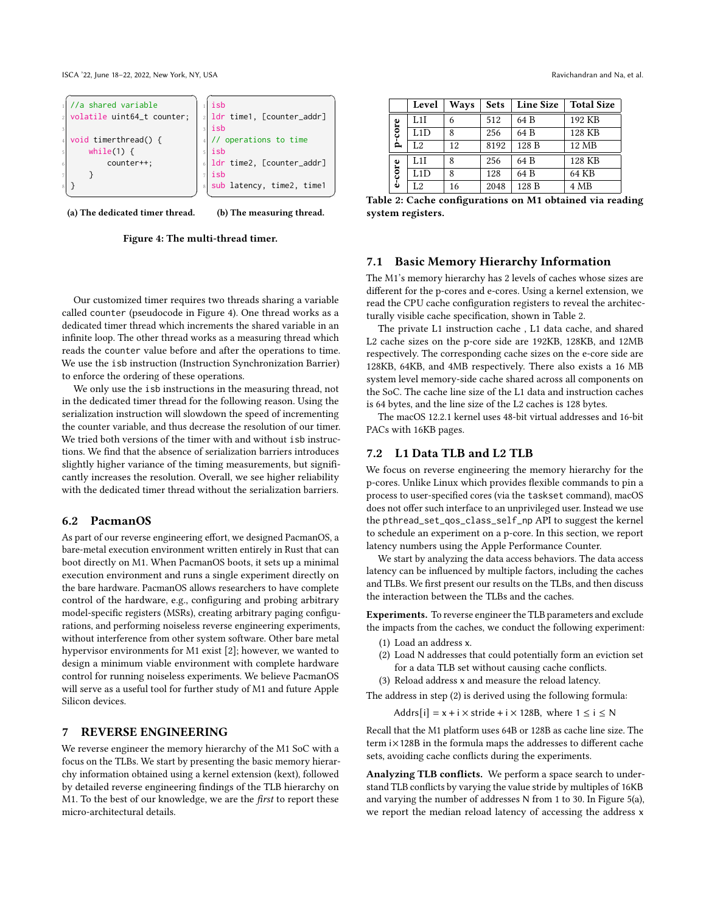ISCA '22, June 18-22, 2022, New York, NY, USA Ravichandran and Na, et al.

<span id="page-7-1"></span>

(a) The dedicated timer thread.

(b) The measuring thread.

Figure 4: The multi-thread timer.

Our customized timer requires two threads sharing a variable called counter (pseudocode in Figure [4\)](#page-7-1). One thread works as a dedicated timer thread which increments the shared variable in an infinite loop. The other thread works as a measuring thread which reads the counter value before and after the operations to time. We use the isb instruction (Instruction Synchronization Barrier) to enforce the ordering of these operations.

We only use the isb instructions in the measuring thread, not in the dedicated timer thread for the following reason. Using the serialization instruction will slowdown the speed of incrementing the counter variable, and thus decrease the resolution of our timer. We tried both versions of the timer with and without isb instructions. We find that the absence of serialization barriers introduces slightly higher variance of the timing measurements, but significantly increases the resolution. Overall, we see higher reliability with the dedicated timer thread without the serialization barriers.

# 6.2 PacmanOS

As part of our reverse engineering effort, we designed PacmanOS, a bare-metal execution environment written entirely in Rust that can boot directly on M1. When PacmanOS boots, it sets up a minimal execution environment and runs a single experiment directly on the bare hardware. PacmanOS allows researchers to have complete control of the hardware, e.g., configuring and probing arbitrary model-specific registers (MSRs), creating arbitrary paging configurations, and performing noiseless reverse engineering experiments, without interference from other system software. Other bare metal hypervisor environments for M1 exist [\[2\]](#page-12-26); however, we wanted to design a minimum viable environment with complete hardware control for running noiseless experiments. We believe PacmanOS will serve as a useful tool for further study of M1 and future Apple Silicon devices.

# <span id="page-7-0"></span>7 REVERSE ENGINEERING

We reverse engineer the memory hierarchy of the M1 SoC with a focus on the TLBs. We start by presenting the basic memory hierarchy information obtained using a kernel extension (kext), followed by detailed reverse engineering findings of the TLB hierarchy on M1. To the best of our knowledge, we are the *first* to report these micro-architectural details.

<span id="page-7-2"></span>

|        | Level | Ways | <b>Sets</b> | <b>Line Size</b> | <b>Total Size</b> |
|--------|-------|------|-------------|------------------|-------------------|
| p-core | I.1I  | 6    | 512         | 64 B             | 192 KB            |
|        | L1D   | 8    | 256         | 64 B             | 128 KB            |
|        | L2    | 12   | 8192        | 128 B            | 12 MB             |
| e-core | L1I   | 8    | 256         | 64 B             | 128 KB            |
|        | L1D   | 8    | 128         | 64 B             | 64 KB             |
|        | L2    | 16   | 2048        | 128 B            | 4 MB              |

Table 2: Cache configurations on M1 obtained via reading system registers.

#### 7.1 Basic Memory Hierarchy Information

The M1's memory hierarchy has 2 levels of caches whose sizes are different for the p-cores and e-cores. Using a kernel extension, we read the CPU cache configuration registers to reveal the architecturally visible cache specification, shown in Table [2.](#page-7-2)

The private L1 instruction cache , L1 data cache, and shared L2 cache sizes on the p-core side are 192KB, 128KB, and 12MB respectively. The corresponding cache sizes on the e-core side are 128KB, 64KB, and 4MB respectively. There also exists a 16 MB system level memory-side cache shared across all components on the SoC. The cache line size of the L1 data and instruction caches is 64 bytes, and the line size of the L2 caches is 128 bytes.

The macOS 12.2.1 kernel uses 48-bit virtual addresses and 16-bit PACs with 16KB pages.

# <span id="page-7-3"></span>7.2 L1 Data TLB and L2 TLB

We focus on reverse engineering the memory hierarchy for the p-cores. Unlike Linux which provides flexible commands to pin a process to user-specified cores (via the taskset command), macOS does not offer such interface to an unprivileged user. Instead we use the pthread\_set\_qos\_class\_self\_np API to suggest the kernel to schedule an experiment on a p-core. In this section, we report latency numbers using the Apple Performance Counter.

We start by analyzing the data access behaviors. The data access latency can be influenced by multiple factors, including the caches and TLBs. We first present our results on the TLBs, and then discuss the interaction between the TLBs and the caches.

Experiments. To reverse engineer the TLB parameters and exclude the impacts from the caches, we conduct the following experiment:

- (1) Load an address x.
- (2) Load N addresses that could potentially form an eviction set for a data TLB set without causing cache conflicts.
- (3) Reload address x and measure the reload latency.

The address in step (2) is derived using the following formula:

Addrs[i] =  $x + i \times$  stride +  $i \times$  128B, where  $1 \le i \le N$ 

Recall that the M1 platform uses 64B or 128B as cache line size. The term i×128B in the formula maps the addresses to different cache sets, avoiding cache conflicts during the experiments.

Analyzing TLB conflicts. We perform a space search to understand TLB conflicts by varying the value stride by multiples of 16KB and varying the number of addresses N from 1 to 30. In Figure [5\(](#page-8-0)a), we report the median reload latency of accessing the address x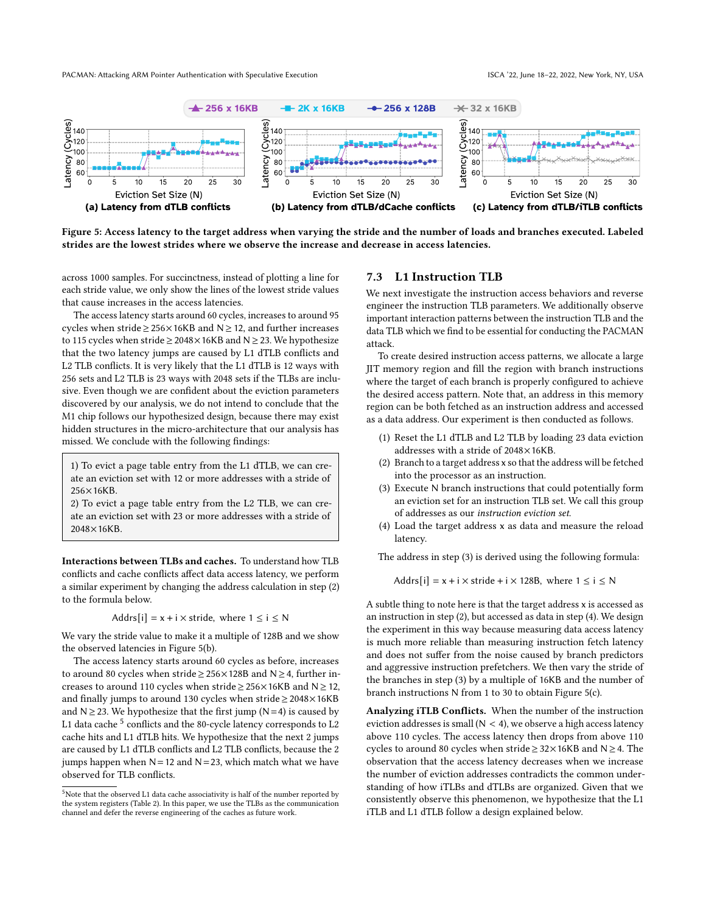<span id="page-8-0"></span>

Figure 5: Access latency to the target address when varying the stride and the number of loads and branches executed. Labeled strides are the lowest strides where we observe the increase and decrease in access latencies.

across 1000 samples. For succinctness, instead of plotting a line for each stride value, we only show the lines of the lowest stride values that cause increases in the access latencies.

The access latency starts around 60 cycles, increases to around 95 cycles when stride  $\geq$  256×16KB and N  $\geq$  12, and further increases to 115 cycles when stride  $\geq$  2048×16KB and N  $\geq$  23. We hypothesize that the two latency jumps are caused by L1 dTLB conflicts and L2 TLB conflicts. It is very likely that the L1 dTLB is 12 ways with 256 sets and L2 TLB is 23 ways with 2048 sets if the TLBs are inclusive. Even though we are confident about the eviction parameters discovered by our analysis, we do not intend to conclude that the M1 chip follows our hypothesized design, because there may exist hidden structures in the micro-architecture that our analysis has missed. We conclude with the following findings:

1) To evict a page table entry from the L1 dTLB, we can create an eviction set with 12 or more addresses with a stride of 256×16KB.

2) To evict a page table entry from the L2 TLB, we can create an eviction set with 23 or more addresses with a stride of 2048×16KB.

Interactions between TLBs and caches. To understand how TLB conflicts and cache conflicts affect data access latency, we perform a similar experiment by changing the address calculation in step (2) to the formula below.

Addrs[i] =  $x + i \times$  stride, where  $1 \le i \le N$ 

We vary the stride value to make it a multiple of 128B and we show the observed latencies in Figure [5\(](#page-8-0)b).

The access latency starts around 60 cycles as before, increases to around 80 cycles when stride≥256×128B and N≥4, further increases to around 110 cycles when stride  $\geq$  256×16KB and N  $\geq$  12, and finally jumps to around 130 cycles when stride≥2048×16KB and  $N \ge 23$ . We hypothesize that the first jump ( $N=4$ ) is caused by L1 data cache  $^5$  $^5$  conflicts and the 80-cycle latency corresponds to L2 cache hits and L1 dTLB hits. We hypothesize that the next 2 jumps are caused by L1 dTLB conflicts and L2 TLB conflicts, because the 2 jumps happen when  $N=12$  and  $N=23$ , which match what we have observed for TLB conflicts.

#### 7.3 L1 Instruction TLB

We next investigate the instruction access behaviors and reverse engineer the instruction TLB parameters. We additionally observe important interaction patterns between the instruction TLB and the data TLB which we find to be essential for conducting the PACMAN attack.

To create desired instruction access patterns, we allocate a large JIT memory region and fill the region with branch instructions where the target of each branch is properly configured to achieve the desired access pattern. Note that, an address in this memory region can be both fetched as an instruction address and accessed as a data address. Our experiment is then conducted as follows.

- (1) Reset the L1 dTLB and L2 TLB by loading 23 data eviction addresses with a stride of 2048×16KB.
- (2) Branch to a target address x so that the address will be fetched into the processor as an instruction.
- (3) Execute N branch instructions that could potentially form an eviction set for an instruction TLB set. We call this group of addresses as our instruction eviction set.
- (4) Load the target address x as data and measure the reload latency.

The address in step (3) is derived using the following formula:

Addrs[i] =  $x + i \times$  stride +  $i \times$  128B, where  $1 \le i \le N$ 

A subtle thing to note here is that the target address x is accessed as an instruction in step (2), but accessed as data in step (4). We design the experiment in this way because measuring data access latency is much more reliable than measuring instruction fetch latency and does not suffer from the noise caused by branch predictors and aggressive instruction prefetchers. We then vary the stride of the branches in step (3) by a multiple of 16KB and the number of branch instructions N from 1 to 30 to obtain Figure [5\(](#page-8-0)c).

Analyzing iTLB Conflicts. When the number of the instruction eviction addresses is small ( $N < 4$ ), we observe a high access latency above 110 cycles. The access latency then drops from above 110 cycles to around 80 cycles when stride≥32×16KB and N≥4. The observation that the access latency decreases when we increase the number of eviction addresses contradicts the common understanding of how iTLBs and dTLBs are organized. Given that we consistently observe this phenomenon, we hypothesize that the L1 iTLB and L1 dTLB follow a design explained below.

<span id="page-8-1"></span> $5$ Note that the observed L1 data cache associativity is half of the number reported by the system registers (Table [2\)](#page-7-2). In this paper, we use the TLBs as the communication channel and defer the reverse engineering of the caches as future work.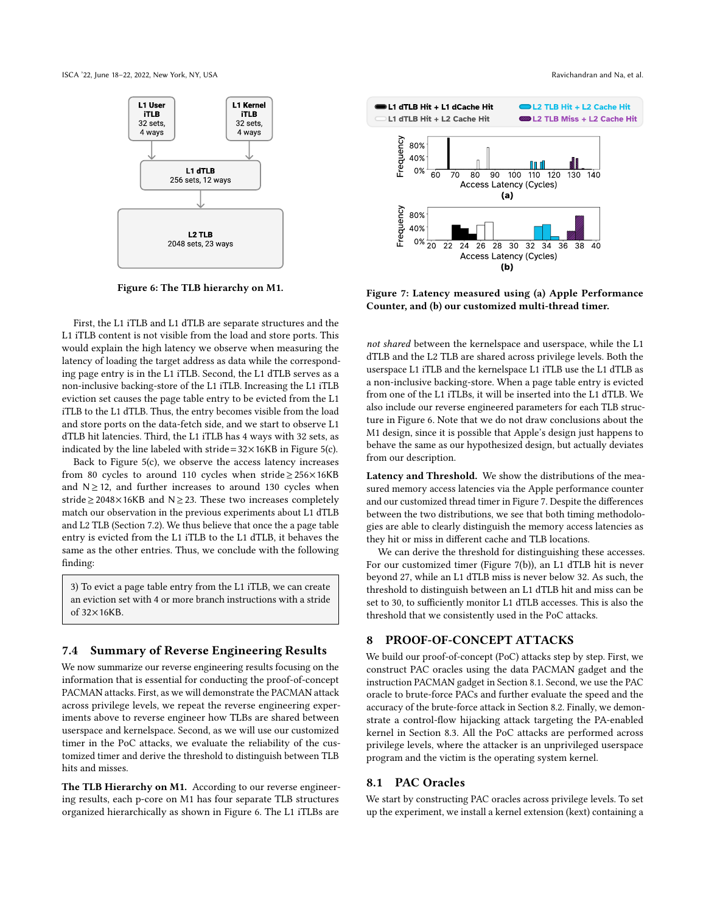<span id="page-9-1"></span>ISCA '22, June 18-22, 2022, New York, NY, USA Ravichandran and Na, et al.



Figure 6: The TLB hierarchy on M1.

First, the L1 iTLB and L1 dTLB are separate structures and the L1 iTLB content is not visible from the load and store ports. This would explain the high latency we observe when measuring the latency of loading the target address as data while the corresponding page entry is in the L1 iTLB. Second, the L1 dTLB serves as a non-inclusive backing-store of the L1 iTLB. Increasing the L1 iTLB eviction set causes the page table entry to be evicted from the L1 iTLB to the L1 dTLB. Thus, the entry becomes visible from the load and store ports on the data-fetch side, and we start to observe L1 dTLB hit latencies. Third, the L1 iTLB has 4 ways with 32 sets, as indicated by the line labeled with stride= $32 \times 16KB$  in Figure [5\(](#page-8-0)c).

Back to Figure [5\(](#page-8-0)c), we observe the access latency increases from 80 cycles to around 110 cycles when stride≥256×16KB and N≥12, and further increases to around 130 cycles when stride≥2048×16KB and N≥23. These two increases completely match our observation in the previous experiments about L1 dTLB and L2 TLB (Section [7.2\)](#page-7-3). We thus believe that once the a page table entry is evicted from the L1 iTLB to the L1 dTLB, it behaves the same as the other entries. Thus, we conclude with the following finding:

3) To evict a page table entry from the L1 iTLB, we can create an eviction set with 4 or more branch instructions with a stride of 32×16KB.

# <span id="page-9-4"></span>7.4 Summary of Reverse Engineering Results

We now summarize our reverse engineering results focusing on the information that is essential for conducting the proof-of-concept PACMAN attacks. First, as we will demonstrate the PACMAN attack across privilege levels, we repeat the reverse engineering experiments above to reverse engineer how TLBs are shared between userspace and kernelspace. Second, as we will use our customized timer in the PoC attacks, we evaluate the reliability of the customized timer and derive the threshold to distinguish between TLB hits and misses.

The TLB Hierarchy on M1. According to our reverse engineering results, each p-core on M1 has four separate TLB structures organized hierarchically as shown in Figure [6.](#page-9-1) The L1 iTLBs are

<span id="page-9-2"></span>

Figure 7: Latency measured using (a) Apple Performance Counter, and (b) our customized multi-thread timer.

not shared between the kernelspace and userspace, while the L1 dTLB and the L2 TLB are shared across privilege levels. Both the userspace L1 iTLB and the kernelspace L1 iTLB use the L1 dTLB as a non-inclusive backing-store. When a page table entry is evicted from one of the L1 iTLBs, it will be inserted into the L1 dTLB. We also include our reverse engineered parameters for each TLB structure in Figure [6.](#page-9-1) Note that we do not draw conclusions about the M1 design, since it is possible that Apple's design just happens to behave the same as our hypothesized design, but actually deviates from our description.

Latency and Threshold. We show the distributions of the measured memory access latencies via the Apple performance counter and our customized thread timer in Figure [7.](#page-9-2) Despite the differences between the two distributions, we see that both timing methodologies are able to clearly distinguish the memory access latencies as they hit or miss in different cache and TLB locations.

We can derive the threshold for distinguishing these accesses. For our customized timer (Figure [7\(](#page-9-2)b)), an L1 dTLB hit is never beyond 27, while an L1 dTLB miss is never below 32. As such, the threshold to distinguish between an L1 dTLB hit and miss can be set to 30, to sufficiently monitor L1 dTLB accesses. This is also the threshold that we consistently used in the PoC attacks.

# <span id="page-9-0"></span>8 PROOF-OF-CONCEPT ATTACKS

We build our proof-of-concept (PoC) attacks step by step. First, we construct PAC oracles using the data PACMAN gadget and the instruction PACMAN gadget in Section [8.1.](#page-9-3) Second, we use the PAC oracle to brute-force PACs and further evaluate the speed and the accuracy of the brute-force attack in Section [8.2.](#page-10-0) Finally, we demonstrate a control-flow hijacking attack targeting the PA-enabled kernel in Section [8.3.](#page-11-0) All the PoC attacks are performed across privilege levels, where the attacker is an unprivileged userspace program and the victim is the operating system kernel.

### <span id="page-9-3"></span>8.1 PAC Oracles

We start by constructing PAC oracles across privilege levels. To set up the experiment, we install a kernel extension (kext) containing a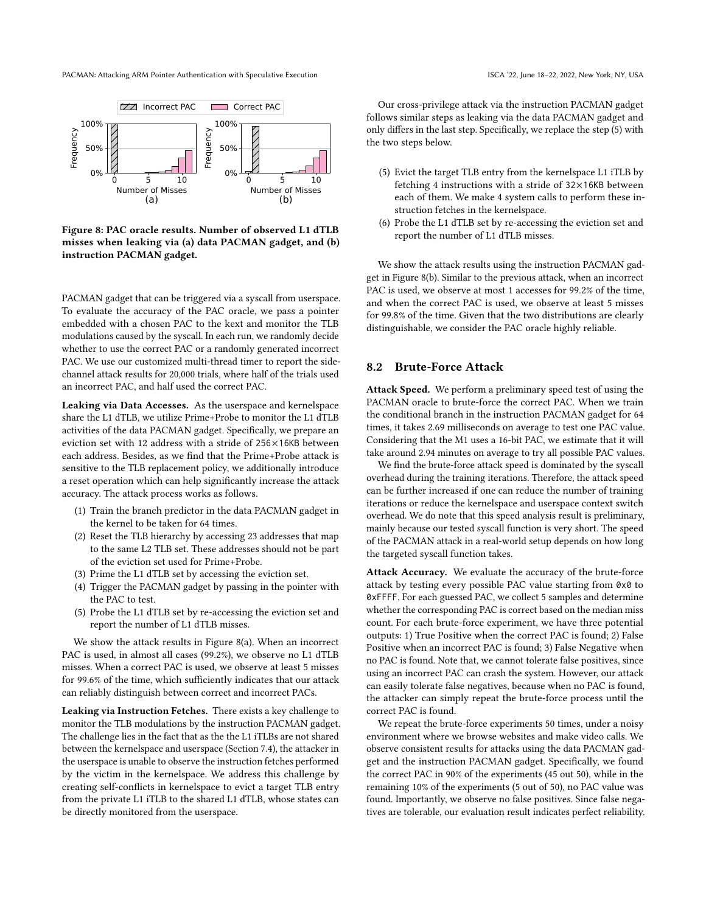<span id="page-10-1"></span>

Figure 8: PAC oracle results. Number of observed L1 dTLB misses when leaking via (a) data PACMAN gadget, and (b) instruction PACMAN gadget.

PACMAN gadget that can be triggered via a syscall from userspace. To evaluate the accuracy of the PAC oracle, we pass a pointer embedded with a chosen PAC to the kext and monitor the TLB modulations caused by the syscall. In each run, we randomly decide whether to use the correct PAC or a randomly generated incorrect PAC. We use our customized multi-thread timer to report the sidechannel attack results for 20,000 trials, where half of the trials used an incorrect PAC, and half used the correct PAC.

Leaking via Data Accesses. As the userspace and kernelspace share the L1 dTLB, we utilize Prime+Probe to monitor the L1 dTLB activities of the data PACMAN gadget. Specifically, we prepare an eviction set with 12 address with a stride of 256×16KB between each address. Besides, as we find that the Prime+Probe attack is sensitive to the TLB replacement policy, we additionally introduce a reset operation which can help significantly increase the attack accuracy. The attack process works as follows.

- (1) Train the branch predictor in the data PACMAN gadget in the kernel to be taken for 64 times.
- (2) Reset the TLB hierarchy by accessing 23 addresses that map to the same L2 TLB set. These addresses should not be part of the eviction set used for Prime+Probe.
- (3) Prime the L1 dTLB set by accessing the eviction set.
- (4) Trigger the PACMAN gadget by passing in the pointer with the PAC to test.
- (5) Probe the L1 dTLB set by re-accessing the eviction set and report the number of L1 dTLB misses.

We show the attack results in Figure [8\(](#page-10-1)a). When an incorrect PAC is used, in almost all cases (99.2%), we observe no L1 dTLB misses. When a correct PAC is used, we observe at least 5 misses for 99.6% of the time, which sufficiently indicates that our attack can reliably distinguish between correct and incorrect PACs.

Leaking via Instruction Fetches. There exists a key challenge to monitor the TLB modulations by the instruction PACMAN gadget. The challenge lies in the fact that as the the L1 iTLBs are not shared between the kernelspace and userspace (Section [7.4\)](#page-9-4), the attacker in the userspace is unable to observe the instruction fetches performed by the victim in the kernelspace. We address this challenge by creating self-conflicts in kernelspace to evict a target TLB entry from the private L1 iTLB to the shared L1 dTLB, whose states can be directly monitored from the userspace.

Our cross-privilege attack via the instruction PACMAN gadget follows similar steps as leaking via the data PACMAN gadget and only differs in the last step. Specifically, we replace the step (5) with the two steps below.

- (5) Evict the target TLB entry from the kernelspace L1 iTLB by fetching 4 instructions with a stride of 32×16KB between each of them. We make 4 system calls to perform these instruction fetches in the kernelspace.
- (6) Probe the L1 dTLB set by re-accessing the eviction set and report the number of L1 dTLB misses.

We show the attack results using the instruction PACMAN gadget in Figure [8\(](#page-10-1)b). Similar to the previous attack, when an incorrect PAC is used, we observe at most 1 accesses for 99.2% of the time, and when the correct PAC is used, we observe at least 5 misses for 99.8% of the time. Given that the two distributions are clearly distinguishable, we consider the PAC oracle highly reliable.

# <span id="page-10-0"></span>8.2 Brute-Force Attack

Attack Speed. We perform a preliminary speed test of using the PACMAN oracle to brute-force the correct PAC. When we train the conditional branch in the instruction PACMAN gadget for 64 times, it takes 2.69 milliseconds on average to test one PAC value. Considering that the M1 uses a 16-bit PAC, we estimate that it will take around 2.94 minutes on average to try all possible PAC values.

We find the brute-force attack speed is dominated by the syscall overhead during the training iterations. Therefore, the attack speed can be further increased if one can reduce the number of training iterations or reduce the kernelspace and userspace context switch overhead. We do note that this speed analysis result is preliminary, mainly because our tested syscall function is very short. The speed of the PACMAN attack in a real-world setup depends on how long the targeted syscall function takes.

Attack Accuracy. We evaluate the accuracy of the brute-force attack by testing every possible PAC value starting from 0x0 to 0xFFFF. For each guessed PAC, we collect 5 samples and determine whether the corresponding PAC is correct based on the median miss count. For each brute-force experiment, we have three potential outputs: 1) True Positive when the correct PAC is found; 2) False Positive when an incorrect PAC is found; 3) False Negative when no PAC is found. Note that, we cannot tolerate false positives, since using an incorrect PAC can crash the system. However, our attack can easily tolerate false negatives, because when no PAC is found, the attacker can simply repeat the brute-force process until the correct PAC is found.

We repeat the brute-force experiments 50 times, under a noisy environment where we browse websites and make video calls. We observe consistent results for attacks using the data PACMAN gadget and the instruction PACMAN gadget. Specifically, we found the correct PAC in 90% of the experiments (45 out 50), while in the remaining 10% of the experiments (5 out of 50), no PAC value was found. Importantly, we observe no false positives. Since false negatives are tolerable, our evaluation result indicates perfect reliability.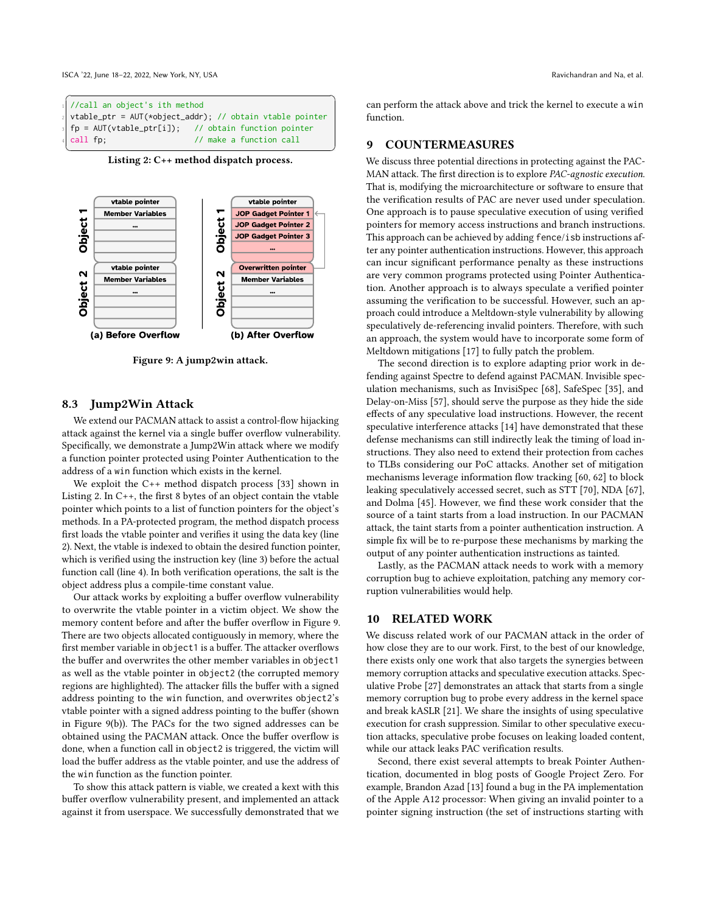<span id="page-11-1"></span>

Listing 2: C++ method dispatch process.

<span id="page-11-2"></span>

Figure 9: A jump2win attack.

# <span id="page-11-0"></span>8.3 Jump2Win Attack

We extend our PACMAN attack to assist a control-flow hijacking attack against the kernel via a single buffer overflow vulnerability. Specifically, we demonstrate a Jump2Win attack where we modify a function pointer protected using Pointer Authentication to the address of a win function which exists in the kernel.

We exploit the C++ method dispatch process [\[33\]](#page-12-4) shown in Listing [2.](#page-11-1) In C++, the first 8 bytes of an object contain the vtable pointer which points to a list of function pointers for the object's methods. In a PA-protected program, the method dispatch process first loads the vtable pointer and verifies it using the data key (line 2). Next, the vtable is indexed to obtain the desired function pointer, which is verified using the instruction key (line 3) before the actual function call (line 4). In both verification operations, the salt is the object address plus a compile-time constant value.

Our attack works by exploiting a buffer overflow vulnerability to overwrite the vtable pointer in a victim object. We show the memory content before and after the buffer overflow in Figure [9.](#page-11-2) There are two objects allocated contiguously in memory, where the first member variable in object1 is a buffer. The attacker overflows the buffer and overwrites the other member variables in object1 as well as the vtable pointer in object2 (the corrupted memory regions are highlighted). The attacker fills the buffer with a signed address pointing to the win function, and overwrites object2's vtable pointer with a signed address pointing to the buffer (shown in Figure [9\(](#page-11-2)b)). The PACs for the two signed addresses can be obtained using the PACMAN attack. Once the buffer overflow is done, when a function call in object2 is triggered, the victim will load the buffer address as the vtable pointer, and use the address of the win function as the function pointer.

To show this attack pattern is viable, we created a kext with this buffer overflow vulnerability present, and implemented an attack against it from userspace. We successfully demonstrated that we can perform the attack above and trick the kernel to execute a win function.

#### 9 COUNTERMEASURES

We discuss three potential directions in protecting against the PAC-MAN attack. The first direction is to explore PAC-agnostic execution. That is, modifying the microarchitecture or software to ensure that the verification results of PAC are never used under speculation. One approach is to pause speculative execution of using verified pointers for memory access instructions and branch instructions. This approach can be achieved by adding fence/isb instructions after any pointer authentication instructions. However, this approach can incur significant performance penalty as these instructions are very common programs protected using Pointer Authentication. Another approach is to always speculate a verified pointer assuming the verification to be successful. However, such an approach could introduce a Meltdown-style vulnerability by allowing speculatively de-referencing invalid pointers. Therefore, with such an approach, the system would have to incorporate some form of Meltdown mitigations [\[17\]](#page-12-31) to fully patch the problem.

The second direction is to explore adapting prior work in defending against Spectre to defend against PACMAN. Invisible speculation mechanisms, such as InvisiSpec [\[68\]](#page-13-28), SafeSpec [\[35\]](#page-12-32), and Delay-on-Miss [\[57\]](#page-13-29), should serve the purpose as they hide the side effects of any speculative load instructions. However, the recent speculative interference attacks [\[14\]](#page-12-33) have demonstrated that these defense mechanisms can still indirectly leak the timing of load instructions. They also need to extend their protection from caches to TLBs considering our PoC attacks. Another set of mitigation mechanisms leverage information flow tracking [\[60,](#page-13-30) [62\]](#page-13-31) to block leaking speculatively accessed secret, such as STT [\[70\]](#page-13-32), NDA [\[67\]](#page-13-33), and Dolma [\[45\]](#page-13-34). However, we find these work consider that the source of a taint starts from a load instruction. In our PACMAN attack, the taint starts from a pointer authentication instruction. A simple fix will be to re-purpose these mechanisms by marking the output of any pointer authentication instructions as tainted.

Lastly, as the PACMAN attack needs to work with a memory corruption bug to achieve exploitation, patching any memory corruption vulnerabilities would help.

#### 10 RELATED WORK

We discuss related work of our PACMAN attack in the order of how close they are to our work. First, to the best of our knowledge, there exists only one work that also targets the synergies between memory corruption attacks and speculative execution attacks. Speculative Probe [\[27\]](#page-12-34) demonstrates an attack that starts from a single memory corruption bug to probe every address in the kernel space and break kASLR [\[21\]](#page-12-16). We share the insights of using speculative execution for crash suppression. Similar to other speculative execution attacks, speculative probe focuses on leaking loaded content, while our attack leaks PAC verification results.

Second, there exist several attempts to break Pointer Authentication, documented in blog posts of Google Project Zero. For example, Brandon Azad [\[13\]](#page-12-35) found a bug in the PA implementation of the Apple A12 processor: When giving an invalid pointer to a pointer signing instruction (the set of instructions starting with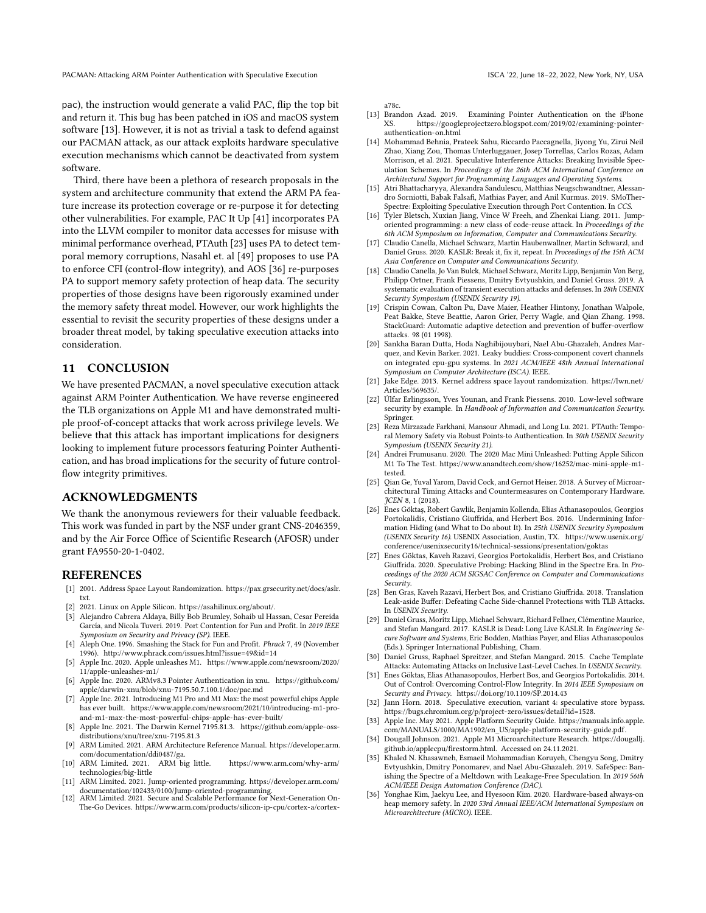pac), the instruction would generate a valid PAC, flip the top bit and return it. This bug has been patched in iOS and macOS system software [\[13\]](#page-12-35). However, it is not as trivial a task to defend against our PACMAN attack, as our attack exploits hardware speculative execution mechanisms which cannot be deactivated from system software.

Third, there have been a plethora of research proposals in the system and architecture community that extend the ARM PA feature increase its protection coverage or re-purpose it for detecting other vulnerabilities. For example, PAC It Up [\[41\]](#page-13-9) incorporates PA into the LLVM compiler to monitor data accesses for misuse with minimal performance overhead, PTAuth [\[23\]](#page-12-9) uses PA to detect temporal memory corruptions, Nasahl et. al [\[49\]](#page-13-10) proposes to use PA to enforce CFI (control-flow integrity), and AOS [\[36\]](#page-12-10) re-purposes PA to support memory safety protection of heap data. The security properties of those designs have been rigorously examined under the memory safety threat model. However, our work highlights the essential to revisit the security properties of these designs under a broader threat model, by taking speculative execution attacks into consideration.

# 11 CONCLUSION

We have presented PACMAN, a novel speculative execution attack against ARM Pointer Authentication. We have reverse engineered the TLB organizations on Apple M1 and have demonstrated multiple proof-of-concept attacks that work across privilege levels. We believe that this attack has important implications for designers looking to implement future processors featuring Pointer Authentication, and has broad implications for the security of future controlflow integrity primitives.

# ACKNOWLEDGMENTS

We thank the anonymous reviewers for their valuable feedback. This work was funded in part by the NSF under grant CNS-2046359, and by the Air Force Office of Scientific Research (AFOSR) under grant FA9550-20-1-0402.

#### REFERENCES

- <span id="page-12-15"></span>[1] 2001. Address Space Layout Randomization. [https://pax.grsecurity.net/docs/aslr.](https://pax.grsecurity.net/docs/aslr.txt) [txt.](https://pax.grsecurity.net/docs/aslr.txt)
- <span id="page-12-26"></span>[2] 2021. Linux on Apple Silicon. [https://asahilinux.org/about/.](https://asahilinux.org/about/)
- <span id="page-12-20"></span>[3] Alejandro Cabrera Aldaya, Billy Bob Brumley, Sohaib ul Hassan, Cesar Pereida García, and Nicola Tuveri. 2019. Port Contention for Fun and Profit. In 2019 IEEE Symposium on Security and Privacy (SP). IEEE.
- <span id="page-12-11"></span>[4] Aleph One. 1996. Smashing the Stack for Fun and Profit. Phrack 7, 49 (November 1996).<http://www.phrack.com/issues.html?issue=49&id=14>
- <span id="page-12-5"></span>[5] Apple Inc. 2020. Apple unleashes M1. [https://www.apple.com/newsroom/2020/](https://www.apple.com/newsroom/2020/11/apple-unleashes-m1/) [11/apple-unleashes-m1/](https://www.apple.com/newsroom/2020/11/apple-unleashes-m1/)
- <span id="page-12-23"></span>[6] Apple Inc. 2020. ARMv8.3 Pointer Authentication in xnu. [https://github.com/](https://github.com/apple/darwin-xnu/blob/xnu-7195.50.7.100.1/doc/pac.md) [apple/darwin-xnu/blob/xnu-7195.50.7.100.1/doc/pac.md](https://github.com/apple/darwin-xnu/blob/xnu-7195.50.7.100.1/doc/pac.md)
- <span id="page-12-6"></span>[7] Apple Inc. 2021. Introducing M1 Pro and M1 Max: the most powerful chips Apple has ever built. [https://www.apple.com/newsroom/2021/10/introducing-m1-pro](https://www.apple.com/newsroom/2021/10/introducing-m1-pro-and-m1-max-the-most-powerful-chips-apple-has-ever-built/)[and-m1-max-the-most-powerful-chips-apple-has-ever-built/](https://www.apple.com/newsroom/2021/10/introducing-m1-pro-and-m1-max-the-most-powerful-chips-apple-has-ever-built/)
- <span id="page-12-30"></span>[8] Apple Inc. 2021. The Darwin Kernel 7195.81.3. [https://github.com/apple-oss](https://github.com/apple-oss-distributions/xnu/tree/xnu-7195.81.3)[distributions/xnu/tree/xnu-7195.81.3](https://github.com/apple-oss-distributions/xnu/tree/xnu-7195.81.3)
- <span id="page-12-18"></span>[9] ARM Limited. 2021. ARM Architecture Reference Manual. [https://developer.arm.](https://developer.arm.com/documentation/ddi0487/ga) [com/documentation/ddi0487/ga.](https://developer.arm.com/documentation/ddi0487/ga)
- <span id="page-12-25"></span>[10] ARM Limited. 2021. ARM big little. [https://www.arm.com/why-arm/](https://www.arm.com/why-arm/technologies/big-little) [technologies/big-little](https://www.arm.com/why-arm/technologies/big-little)
- <span id="page-12-13"></span>[11] ARM Limited. 2021. Jump-oriented programming. [https://developer.arm.com/](https://developer.arm.com/documentation/102433/0100/Jump-oriented-programming) [documentation/102433/0100/Jump-oriented-programming.](https://developer.arm.com/documentation/102433/0100/Jump-oriented-programming) [12] ARM Limited. 2021. Secure and Scalable Performance for Next-Generation On-
- <span id="page-12-8"></span>The-Go Devices. [https://www.arm.com/products/silicon-ip-cpu/cortex-a/cortex-](https://www.arm.com/products/silicon-ip-cpu/cortex-a/cortex-a78c)

[a78c.](https://www.arm.com/products/silicon-ip-cpu/cortex-a/cortex-a78c)

- <span id="page-12-35"></span>[13] Brandon Azad. 2019. Examining Pointer Authentication on the iPhone XS. [https://googleprojectzero.blogspot.com/2019/02/examining-pointer](https://googleprojectzero.blogspot.com/2019/02/examining-pointer-authentication-on.html)[authentication-on.html](https://googleprojectzero.blogspot.com/2019/02/examining-pointer-authentication-on.html)
- <span id="page-12-33"></span>[14] Mohammad Behnia, Prateek Sahu, Riccardo Paccagnella, Jiyong Yu, Zirui Neil Zhao, Xiang Zou, Thomas Unterluggauer, Josep Torrellas, Carlos Rozas, Adam Morrison, et al. 2021. Speculative Interference Attacks: Breaking Invisible Speculation Schemes. In Proceedings of the 26th ACM International Conference on Architectural Support for Programming Languages and Operating Systems.
- <span id="page-12-21"></span>[15] Atri Bhattacharyya, Alexandra Sandulescu, Matthias Neugschwandtner, Alessandro Sorniotti, Babak Falsafi, Mathias Payer, and Anil Kurmus. 2019. SMoTher-Spectre: Exploiting Speculative Execution through Port Contention. In CCS.
- <span id="page-12-0"></span>[16] Tyler Bletsch, Xuxian Jiang, Vince W Freeh, and Zhenkai Liang. 2011. Jumporiented programming: a new class of code-reuse attack. In Proceedings of the 6th ACM Symposium on Information, Computer and Communications Security.
- <span id="page-12-31"></span>[17] Claudio Canella, Michael Schwarz, Martin Haubenwallner, Martin Schwarzl, and Daniel Gruss. 2020. KASLR: Break it, fix it, repeat. In Proceedings of the 15th ACM Asia Conference on Computer and Communications Security.
- <span id="page-12-1"></span>[18] Claudio Canella, Jo Van Bulck, Michael Schwarz, Moritz Lipp, Benjamin Von Berg, Philipp Ortner, Frank Piessens, Dmitry Evtyushkin, and Daniel Gruss. 2019. A systematic evaluation of transient execution attacks and defenses. In 28th USENIX Security Symposium (USENIX Security 19).
- <span id="page-12-14"></span>[19] Crispin Cowan, Calton Pu, Dave Maier, Heather Hintony, Jonathan Walpole, Peat Bakke, Steve Beattie, Aaron Grier, Perry Wagle, and Qian Zhang. 1998. StackGuard: Automatic adaptive detection and prevention of buffer-overflow attacks. 98 (01 1998).
- <span id="page-12-29"></span>[20] Sankha Baran Dutta, Hoda Naghibijouybari, Nael Abu-Ghazaleh, Andres Marquez, and Kevin Barker. 2021. Leaky buddies: Cross-component covert channels on integrated cpu-gpu systems. In 2021 ACM/IEEE 48th Annual International Symposium on Computer Architecture (ISCA). IEEE.
- <span id="page-12-16"></span>[21] Jake Edge. 2013. Kernel address space layout randomization. [https://lwn.net/](https://lwn.net/Articles/569635/) [Articles/569635/.](https://lwn.net/Articles/569635/)
- <span id="page-12-3"></span>[22] Úlfar Erlingsson, Yves Younan, and Frank Piessens. 2010. Low-level software security by example. In Handbook of Information and Communication Security. Springer.
- <span id="page-12-9"></span>[23] Reza Mirzazade Farkhani, Mansour Ahmadi, and Long Lu. 2021. PTAuth: Temporal Memory Safety via Robust Points-to Authentication. In 30th USENIX Security Symposium (USENIX Security 21).
- <span id="page-12-27"></span>[24] Andrei Frumusanu. 2020. The 2020 Mac Mini Unleashed: Putting Apple Silicon M1 To The Test. [https://www.anandtech.com/show/16252/mac-mini-apple-m1](https://www.anandtech.com/show/16252/mac-mini-apple-m1-tested) [tested.](https://www.anandtech.com/show/16252/mac-mini-apple-m1-tested)
- <span id="page-12-2"></span>[25] Qian Ge, Yuval Yarom, David Cock, and Gernot Heiser. 2018. A Survey of Microarchitectural Timing Attacks and Countermeasures on Contemporary Hardware. JCEN 8, 1 (2018).
- <span id="page-12-7"></span>[26] Enes Göktaş, Robert Gawlik, Benjamin Kollenda, Elias Athanasopoulos, Georgios Portokalidis, Cristiano Giuffrida, and Herbert Bos. 2016. Undermining Information Hiding (and What to Do about It). In 25th USENIX Security Symposium (USENIX Security 16). USENIX Association, Austin, TX. [https://www.usenix.org/](https://www.usenix.org/conference/usenixsecurity16/technical-sessions/presentation/goktas) [conference/usenixsecurity16/technical-sessions/presentation/goktas](https://www.usenix.org/conference/usenixsecurity16/technical-sessions/presentation/goktas)
- <span id="page-12-34"></span>[27] Enes Göktas, Kaveh Razavi, Georgios Portokalidis, Herbert Bos, and Cristiano Giuffrida. 2020. Speculative Probing: Hacking Blind in the Spectre Era. In Proceedings of the 2020 ACM SIGSAC Conference on Computer and Communications Security.
- <span id="page-12-19"></span>[28] Ben Gras, Kaveh Razavi, Herbert Bos, and Cristiano Giuffrida. 2018. Translation Leak-aside Buffer: Defeating Cache Side-channel Protections with TLB Attacks. In USENIX Security.
- <span id="page-12-17"></span>[29] Daniel Gruss, Moritz Lipp, Michael Schwarz, Richard Fellner, Clémentine Maurice, and Stefan Mangard. 2017. KASLR is Dead: Long Live KASLR. In Engineering Secure Software and Systems, Eric Bodden, Mathias Payer, and Elias Athanasopoulos (Eds.). Springer International Publishing, Cham.
- <span id="page-12-24"></span>[30] Daniel Gruss, Raphael Spreitzer, and Stefan Mangard. 2015. Cache Template Attacks: Automating Attacks on Inclusive Last-Level Caches. In USENIX Security.
- <span id="page-12-12"></span>[31] Enes Göktas, Elias Athanasopoulos, Herbert Bos, and Georgios Portokalidis. 2014. Out of Control: Overcoming Control-Flow Integrity. In 2014 IEEE Symposium on Security and Privacy.<https://doi.org/10.1109/SP.2014.43>
- <span id="page-12-22"></span>[32] Jann Horn. 2018. Speculative execution, variant 4: speculative store bypass. [https://bugs.chromium.org/p/project-zero/issues/detail?id=1528.](https://bugs.chromium.org/p/project-zero/issues/ detail?id=1528)
- <span id="page-12-4"></span>[33] Apple Inc. May 2021. Apple Platform Security Guide. [https://manuals.info.apple.](https://manuals.info.apple.com/MANUALS/1000/MA1902/en_US/apple-platform-security-guide.pdf) [com/MANUALS/1000/MA1902/en\\_US/apple-platform-security-guide.pdf.](https://manuals.info.apple.com/MANUALS/1000/MA1902/en_US/apple-platform-security-guide.pdf)
- <span id="page-12-28"></span>[34] Dougall Johnson. 2021. Apple M1 Microarchitecture Research. [https://dougallj.](https://dougallj.github.io/applecpu/firestorm.html) [github.io/applecpu/firestorm.html.](https://dougallj.github.io/applecpu/firestorm.html) Accessed on 24.11.2021.
- <span id="page-12-32"></span>[35] Khaled N. Khasawneh, Esmaeil Mohammadian Koruyeh, Chengyu Song, Dmitry Evtyushkin, Dmitry Ponomarev, and Nael Abu-Ghazaleh. 2019. SafeSpec: Banishing the Spectre of a Meltdown with Leakage-Free Speculation. In 2019 56th ACM/IEEE Design Automation Conference (DAC).
- <span id="page-12-10"></span>[36] Yonghae Kim, Jaekyu Lee, and Hyesoon Kim. 2020. Hardware-based always-on heap memory safety. In 2020 53rd Annual IEEE/ACM International Symposium on Microarchitecture (MICRO). IEEE.